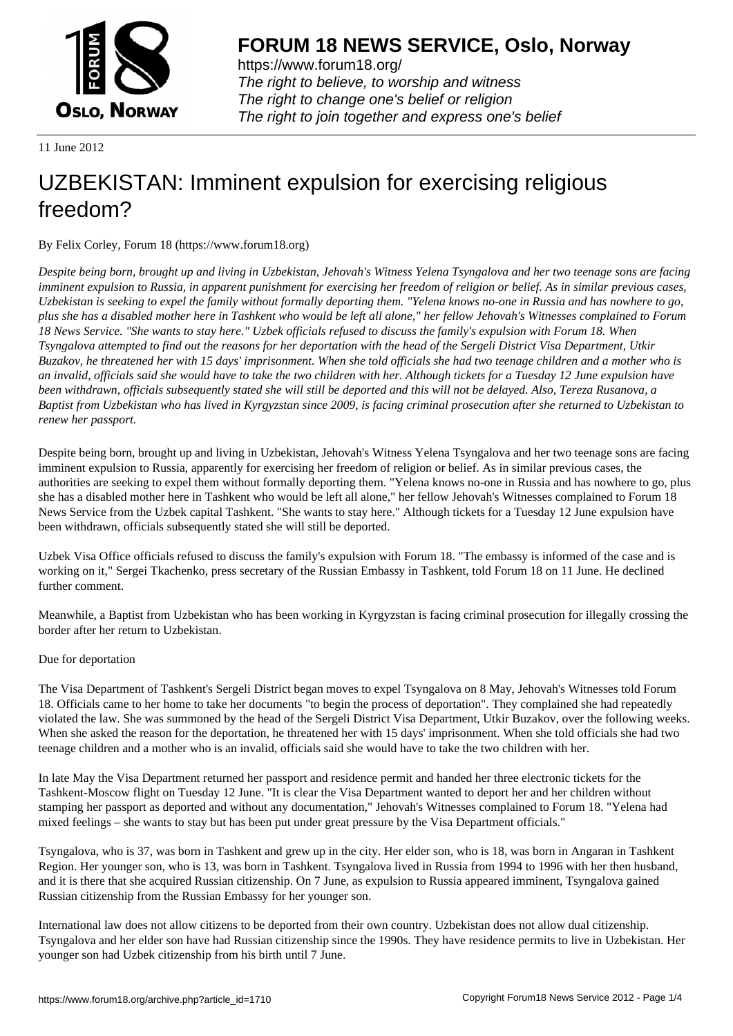

https://www.forum18.org/ The right to believe, to worship and witness The right to change one's belief or religion [The right to join together a](https://www.forum18.org/)nd express one's belief

11 June 2012

# [UZBEKISTAN:](https://www.forum18.org) Imminent expulsion for exercising religious freedom?

By Felix Corley, Forum 18 (https://www.forum18.org)

*Despite being born, brought up and living in Uzbekistan, Jehovah's Witness Yelena Tsyngalova and her two teenage sons are facing imminent expulsion to Russia, in apparent punishment for exercising her freedom of religion or belief. As in similar previous cases, Uzbekistan is seeking to expel the family without formally deporting them. "Yelena knows no-one in Russia and has nowhere to go, plus she has a disabled mother here in Tashkent who would be left all alone," her fellow Jehovah's Witnesses complained to Forum 18 News Service. "She wants to stay here." Uzbek officials refused to discuss the family's expulsion with Forum 18. When Tsyngalova attempted to find out the reasons for her deportation with the head of the Sergeli District Visa Department, Utkir Buzakov, he threatened her with 15 days' imprisonment. When she told officials she had two teenage children and a mother who is an invalid, officials said she would have to take the two children with her. Although tickets for a Tuesday 12 June expulsion have been withdrawn, officials subsequently stated she will still be deported and this will not be delayed. Also, Tereza Rusanova, a Baptist from Uzbekistan who has lived in Kyrgyzstan since 2009, is facing criminal prosecution after she returned to Uzbekistan to renew her passport.*

Despite being born, brought up and living in Uzbekistan, Jehovah's Witness Yelena Tsyngalova and her two teenage sons are facing imminent expulsion to Russia, apparently for exercising her freedom of religion or belief. As in similar previous cases, the authorities are seeking to expel them without formally deporting them. "Yelena knows no-one in Russia and has nowhere to go, plus she has a disabled mother here in Tashkent who would be left all alone," her fellow Jehovah's Witnesses complained to Forum 18 News Service from the Uzbek capital Tashkent. "She wants to stay here." Although tickets for a Tuesday 12 June expulsion have been withdrawn, officials subsequently stated she will still be deported.

Uzbek Visa Office officials refused to discuss the family's expulsion with Forum 18. "The embassy is informed of the case and is working on it," Sergei Tkachenko, press secretary of the Russian Embassy in Tashkent, told Forum 18 on 11 June. He declined further comment.

Meanwhile, a Baptist from Uzbekistan who has been working in Kyrgyzstan is facing criminal prosecution for illegally crossing the border after her return to Uzbekistan.

### Due for deportation

The Visa Department of Tashkent's Sergeli District began moves to expel Tsyngalova on 8 May, Jehovah's Witnesses told Forum 18. Officials came to her home to take her documents "to begin the process of deportation". They complained she had repeatedly violated the law. She was summoned by the head of the Sergeli District Visa Department, Utkir Buzakov, over the following weeks. When she asked the reason for the deportation, he threatened her with 15 days' imprisonment. When she told officials she had two teenage children and a mother who is an invalid, officials said she would have to take the two children with her.

In late May the Visa Department returned her passport and residence permit and handed her three electronic tickets for the Tashkent-Moscow flight on Tuesday 12 June. "It is clear the Visa Department wanted to deport her and her children without stamping her passport as deported and without any documentation," Jehovah's Witnesses complained to Forum 18. "Yelena had mixed feelings – she wants to stay but has been put under great pressure by the Visa Department officials."

Tsyngalova, who is 37, was born in Tashkent and grew up in the city. Her elder son, who is 18, was born in Angaran in Tashkent Region. Her younger son, who is 13, was born in Tashkent. Tsyngalova lived in Russia from 1994 to 1996 with her then husband, and it is there that she acquired Russian citizenship. On 7 June, as expulsion to Russia appeared imminent, Tsyngalova gained Russian citizenship from the Russian Embassy for her younger son.

International law does not allow citizens to be deported from their own country. Uzbekistan does not allow dual citizenship. Tsyngalova and her elder son have had Russian citizenship since the 1990s. They have residence permits to live in Uzbekistan. Her younger son had Uzbek citizenship from his birth until 7 June.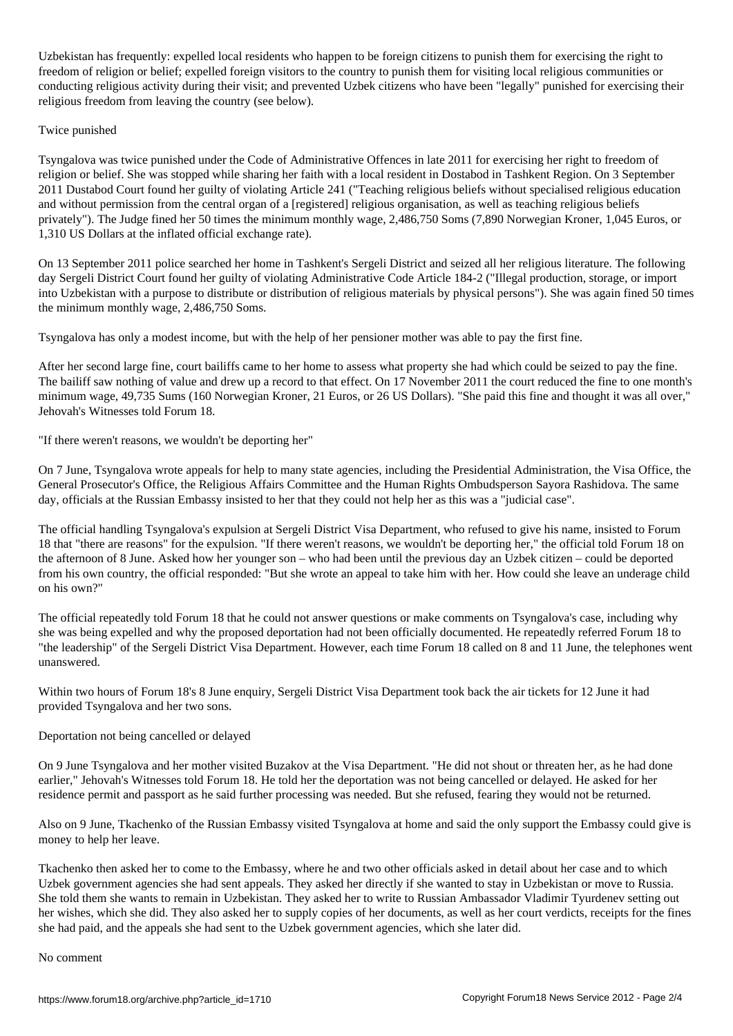Uzbekistan has frequently: expelled local residents who happen to be foreign citizens to punish them for exercising the right to freedom of religion or belief; expelled foreign visitors to the country to punish them for visiting local religious communities or conducting religious activity during their visit; and prevented Uzbek citizens who have been "legally" punished for exercising their religious freedom from leaving the country (see below).

### Twice punished

Tsyngalova was twice punished under the Code of Administrative Offences in late 2011 for exercising her right to freedom of religion or belief. She was stopped while sharing her faith with a local resident in Dostabod in Tashkent Region. On 3 September 2011 Dustabod Court found her guilty of violating Article 241 ("Teaching religious beliefs without specialised religious education and without permission from the central organ of a [registered] religious organisation, as well as teaching religious beliefs privately"). The Judge fined her 50 times the minimum monthly wage, 2,486,750 Soms (7,890 Norwegian Kroner, 1,045 Euros, or 1,310 US Dollars at the inflated official exchange rate).

On 13 September 2011 police searched her home in Tashkent's Sergeli District and seized all her religious literature. The following day Sergeli District Court found her guilty of violating Administrative Code Article 184-2 ("Illegal production, storage, or import into Uzbekistan with a purpose to distribute or distribution of religious materials by physical persons"). She was again fined 50 times the minimum monthly wage, 2,486,750 Soms.

Tsyngalova has only a modest income, but with the help of her pensioner mother was able to pay the first fine.

After her second large fine, court bailiffs came to her home to assess what property she had which could be seized to pay the fine. The bailiff saw nothing of value and drew up a record to that effect. On 17 November 2011 the court reduced the fine to one month's minimum wage, 49,735 Sums (160 Norwegian Kroner, 21 Euros, or 26 US Dollars). "She paid this fine and thought it was all over," Jehovah's Witnesses told Forum 18.

"If there weren't reasons, we wouldn't be deporting her"

On 7 June, Tsyngalova wrote appeals for help to many state agencies, including the Presidential Administration, the Visa Office, the General Prosecutor's Office, the Religious Affairs Committee and the Human Rights Ombudsperson Sayora Rashidova. The same day, officials at the Russian Embassy insisted to her that they could not help her as this was a "judicial case".

The official handling Tsyngalova's expulsion at Sergeli District Visa Department, who refused to give his name, insisted to Forum 18 that "there are reasons" for the expulsion. "If there weren't reasons, we wouldn't be deporting her," the official told Forum 18 on the afternoon of 8 June. Asked how her younger son – who had been until the previous day an Uzbek citizen – could be deported from his own country, the official responded: "But she wrote an appeal to take him with her. How could she leave an underage child on his own?"

The official repeatedly told Forum 18 that he could not answer questions or make comments on Tsyngalova's case, including why she was being expelled and why the proposed deportation had not been officially documented. He repeatedly referred Forum 18 to "the leadership" of the Sergeli District Visa Department. However, each time Forum 18 called on 8 and 11 June, the telephones went unanswered.

Within two hours of Forum 18's 8 June enquiry, Sergeli District Visa Department took back the air tickets for 12 June it had provided Tsyngalova and her two sons.

### Deportation not being cancelled or delayed

On 9 June Tsyngalova and her mother visited Buzakov at the Visa Department. "He did not shout or threaten her, as he had done earlier," Jehovah's Witnesses told Forum 18. He told her the deportation was not being cancelled or delayed. He asked for her residence permit and passport as he said further processing was needed. But she refused, fearing they would not be returned.

Also on 9 June, Tkachenko of the Russian Embassy visited Tsyngalova at home and said the only support the Embassy could give is money to help her leave.

Tkachenko then asked her to come to the Embassy, where he and two other officials asked in detail about her case and to which Uzbek government agencies she had sent appeals. They asked her directly if she wanted to stay in Uzbekistan or move to Russia. She told them she wants to remain in Uzbekistan. They asked her to write to Russian Ambassador Vladimir Tyurdenev setting out her wishes, which she did. They also asked her to supply copies of her documents, as well as her court verdicts, receipts for the fines she had paid, and the appeals she had sent to the Uzbek government agencies, which she later did.

#### No comment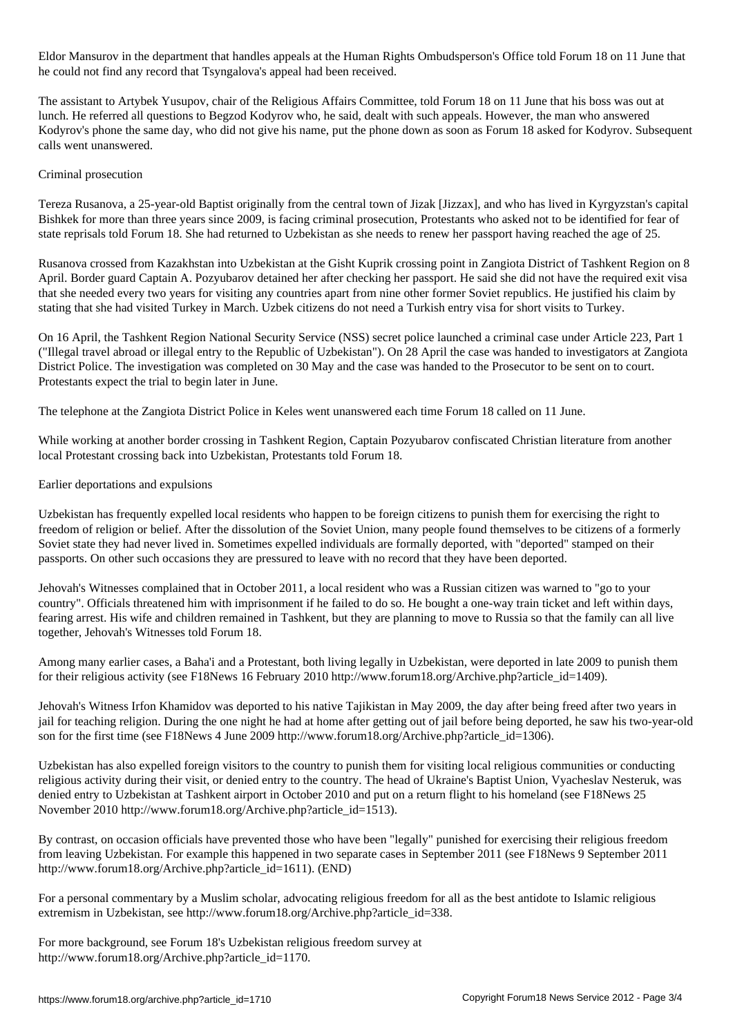Eldor Mansurov in that handles appeals at the Human Rights Ombudsperson  $\mathcal{O}$  or 11 June that handles that handles  $\mathcal{O}$ he could not find any record that Tsyngalova's appeal had been received.

The assistant to Artybek Yusupov, chair of the Religious Affairs Committee, told Forum 18 on 11 June that his boss was out at lunch. He referred all questions to Begzod Kodyrov who, he said, dealt with such appeals. However, the man who answered Kodyrov's phone the same day, who did not give his name, put the phone down as soon as Forum 18 asked for Kodyrov. Subsequent calls went unanswered.

# Criminal prosecution

Tereza Rusanova, a 25-year-old Baptist originally from the central town of Jizak [Jizzax], and who has lived in Kyrgyzstan's capital Bishkek for more than three years since 2009, is facing criminal prosecution, Protestants who asked not to be identified for fear of state reprisals told Forum 18. She had returned to Uzbekistan as she needs to renew her passport having reached the age of 25.

Rusanova crossed from Kazakhstan into Uzbekistan at the Gisht Kuprik crossing point in Zangiota District of Tashkent Region on 8 April. Border guard Captain A. Pozyubarov detained her after checking her passport. He said she did not have the required exit visa that she needed every two years for visiting any countries apart from nine other former Soviet republics. He justified his claim by stating that she had visited Turkey in March. Uzbek citizens do not need a Turkish entry visa for short visits to Turkey.

On 16 April, the Tashkent Region National Security Service (NSS) secret police launched a criminal case under Article 223, Part 1 ("Illegal travel abroad or illegal entry to the Republic of Uzbekistan"). On 28 April the case was handed to investigators at Zangiota District Police. The investigation was completed on 30 May and the case was handed to the Prosecutor to be sent on to court. Protestants expect the trial to begin later in June.

The telephone at the Zangiota District Police in Keles went unanswered each time Forum 18 called on 11 June.

While working at another border crossing in Tashkent Region, Captain Pozyubarov confiscated Christian literature from another local Protestant crossing back into Uzbekistan, Protestants told Forum 18.

# Earlier deportations and expulsions

Uzbekistan has frequently expelled local residents who happen to be foreign citizens to punish them for exercising the right to freedom of religion or belief. After the dissolution of the Soviet Union, many people found themselves to be citizens of a formerly Soviet state they had never lived in. Sometimes expelled individuals are formally deported, with "deported" stamped on their passports. On other such occasions they are pressured to leave with no record that they have been deported.

Jehovah's Witnesses complained that in October 2011, a local resident who was a Russian citizen was warned to "go to your country". Officials threatened him with imprisonment if he failed to do so. He bought a one-way train ticket and left within days, fearing arrest. His wife and children remained in Tashkent, but they are planning to move to Russia so that the family can all live together, Jehovah's Witnesses told Forum 18.

Among many earlier cases, a Baha'i and a Protestant, both living legally in Uzbekistan, were deported in late 2009 to punish them for their religious activity (see F18News 16 February 2010 http://www.forum18.org/Archive.php?article\_id=1409).

Jehovah's Witness Irfon Khamidov was deported to his native Tajikistan in May 2009, the day after being freed after two years in jail for teaching religion. During the one night he had at home after getting out of jail before being deported, he saw his two-year-old son for the first time (see F18News 4 June 2009 http://www.forum18.org/Archive.php?article\_id=1306).

Uzbekistan has also expelled foreign visitors to the country to punish them for visiting local religious communities or conducting religious activity during their visit, or denied entry to the country. The head of Ukraine's Baptist Union, Vyacheslav Nesteruk, was denied entry to Uzbekistan at Tashkent airport in October 2010 and put on a return flight to his homeland (see F18News 25 November 2010 http://www.forum18.org/Archive.php?article\_id=1513).

By contrast, on occasion officials have prevented those who have been "legally" punished for exercising their religious freedom from leaving Uzbekistan. For example this happened in two separate cases in September 2011 (see F18News 9 September 2011 http://www.forum18.org/Archive.php?article\_id=1611). (END)

For a personal commentary by a Muslim scholar, advocating religious freedom for all as the best antidote to Islamic religious extremism in Uzbekistan, see http://www.forum18.org/Archive.php?article\_id=338.

For more background, see Forum 18's Uzbekistan religious freedom survey at http://www.forum18.org/Archive.php?article\_id=1170.